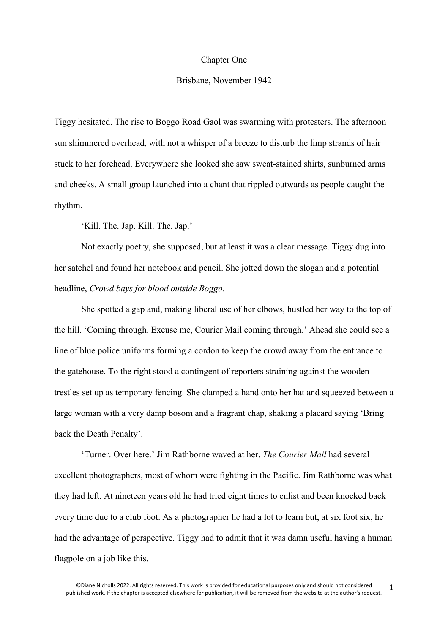## Chapter One

## Brisbane, November 1942

Tiggy hesitated. The rise to Boggo Road Gaol was swarming with protesters. The afternoon sun shimmered overhead, with not a whisper of a breeze to disturb the limp strands of hair stuck to her forehead. Everywhere she looked she saw sweat-stained shirts, sunburned arms and cheeks. A small group launched into a chant that rippled outwards as people caught the rhythm.

'Kill. The. Jap. Kill. The. Jap.'

Not exactly poetry, she supposed, but at least it was a clear message. Tiggy dug into her satchel and found her notebook and pencil. She jotted down the slogan and a potential headline, *Crowd bays for blood outside Boggo*.

She spotted a gap and, making liberal use of her elbows, hustled her way to the top of the hill. 'Coming through. Excuse me, Courier Mail coming through.' Ahead she could see a line of blue police uniforms forming a cordon to keep the crowd away from the entrance to the gatehouse. To the right stood a contingent of reporters straining against the wooden trestles set up as temporary fencing. She clamped a hand onto her hat and squeezed between a large woman with a very damp bosom and a fragrant chap, shaking a placard saying 'Bring back the Death Penalty'.

'Turner. Over here.' Jim Rathborne waved at her. *The Courier Mail* had several excellent photographers, most of whom were fighting in the Pacific. Jim Rathborne was what they had left. At nineteen years old he had tried eight times to enlist and been knocked back every time due to a club foot. As a photographer he had a lot to learn but, at six foot six, he had the advantage of perspective. Tiggy had to admit that it was damn useful having a human flagpole on a job like this.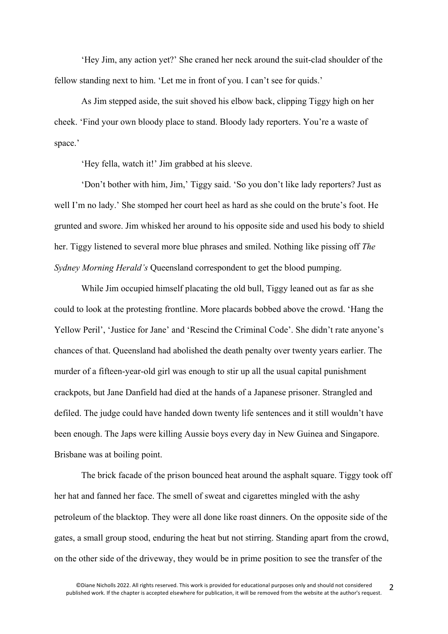'Hey Jim, any action yet?' She craned her neck around the suit-clad shoulder of the fellow standing next to him. 'Let me in front of you. I can't see for quids.'

As Jim stepped aside, the suit shoved his elbow back, clipping Tiggy high on her cheek. 'Find your own bloody place to stand. Bloody lady reporters. You're a waste of space.'

'Hey fella, watch it!' Jim grabbed at his sleeve.

'Don't bother with him, Jim,' Tiggy said. 'So you don't like lady reporters? Just as well I'm no lady.' She stomped her court heel as hard as she could on the brute's foot. He grunted and swore. Jim whisked her around to his opposite side and used his body to shield her. Tiggy listened to several more blue phrases and smiled. Nothing like pissing off *The Sydney Morning Herald's* Queensland correspondent to get the blood pumping.

While Jim occupied himself placating the old bull, Tiggy leaned out as far as she could to look at the protesting frontline. More placards bobbed above the crowd. 'Hang the Yellow Peril', 'Justice for Jane' and 'Rescind the Criminal Code'. She didn't rate anyone's chances of that. Queensland had abolished the death penalty over twenty years earlier. The murder of a fifteen-year-old girl was enough to stir up all the usual capital punishment crackpots, but Jane Danfield had died at the hands of a Japanese prisoner. Strangled and defiled. The judge could have handed down twenty life sentences and it still wouldn't have been enough. The Japs were killing Aussie boys every day in New Guinea and Singapore. Brisbane was at boiling point.

The brick facade of the prison bounced heat around the asphalt square. Tiggy took off her hat and fanned her face. The smell of sweat and cigarettes mingled with the ashy petroleum of the blacktop. They were all done like roast dinners. On the opposite side of the gates, a small group stood, enduring the heat but not stirring. Standing apart from the crowd, on the other side of the driveway, they would be in prime position to see the transfer of the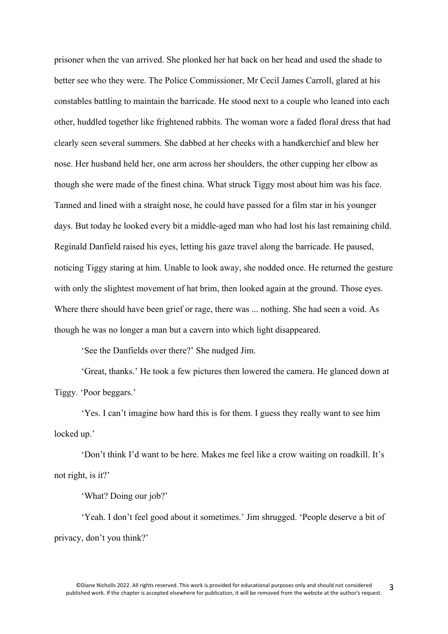prisoner when the van arrived. She plonked her hat back on her head and used the shade to better see who they were. The Police Commissioner, Mr Cecil James Carroll, glared at his constables battling to maintain the barricade. He stood next to a couple who leaned into each other, huddled together like frightened rabbits. The woman wore a faded floral dress that had clearly seen several summers. She dabbed at her cheeks with a handkerchief and blew her nose. Her husband held her, one arm across her shoulders, the other cupping her elbow as though she were made of the finest china. What struck Tiggy most about him was his face. Tanned and lined with a straight nose, he could have passed for a film star in his younger days. But today he looked every bit a middle-aged man who had lost his last remaining child. Reginald Danfield raised his eyes, letting his gaze travel along the barricade. He paused, noticing Tiggy staring at him. Unable to look away, she nodded once. He returned the gesture with only the slightest movement of hat brim, then looked again at the ground. Those eyes. Where there should have been grief or rage, there was ... nothing. She had seen a void. As though he was no longer a man but a cavern into which light disappeared.

'See the Danfields over there?' She nudged Jim.

'Great, thanks.' He took a few pictures then lowered the camera. He glanced down at Tiggy. 'Poor beggars.'

'Yes. I can't imagine how hard this is for them. I guess they really want to see him locked up.'

'Don't think I'd want to be here. Makes me feel like a crow waiting on roadkill. It's not right, is it?'

'What? Doing our job?'

'Yeah. I don't feel good about it sometimes.' Jim shrugged. 'People deserve a bit of privacy, don't you think?'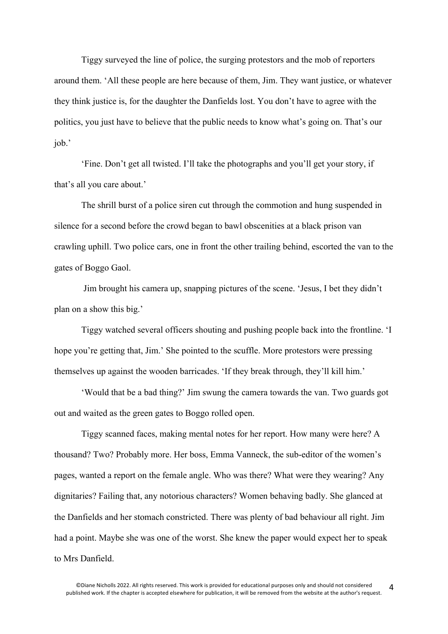Tiggy surveyed the line of police, the surging protestors and the mob of reporters around them. 'All these people are here because of them, Jim. They want justice, or whatever they think justice is, for the daughter the Danfields lost. You don't have to agree with the politics, you just have to believe that the public needs to know what's going on. That's our job.'

'Fine. Don't get all twisted. I'll take the photographs and you'll get your story, if that's all you care about.'

The shrill burst of a police siren cut through the commotion and hung suspended in silence for a second before the crowd began to bawl obscenities at a black prison van crawling uphill. Two police cars, one in front the other trailing behind, escorted the van to the gates of Boggo Gaol.

Jim brought his camera up, snapping pictures of the scene. 'Jesus, I bet they didn't plan on a show this big.'

Tiggy watched several officers shouting and pushing people back into the frontline. 'I hope you're getting that, Jim.' She pointed to the scuffle. More protestors were pressing themselves up against the wooden barricades. 'If they break through, they'll kill him.'

'Would that be a bad thing?' Jim swung the camera towards the van. Two guards got out and waited as the green gates to Boggo rolled open.

Tiggy scanned faces, making mental notes for her report. How many were here? A thousand? Two? Probably more. Her boss, Emma Vanneck, the sub-editor of the women's pages, wanted a report on the female angle. Who was there? What were they wearing? Any dignitaries? Failing that, any notorious characters? Women behaving badly. She glanced at the Danfields and her stomach constricted. There was plenty of bad behaviour all right. Jim had a point. Maybe she was one of the worst. She knew the paper would expect her to speak to Mrs Danfield.

4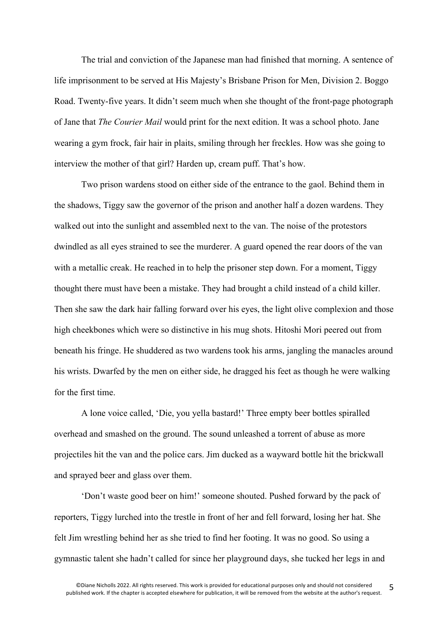The trial and conviction of the Japanese man had finished that morning. A sentence of life imprisonment to be served at His Majesty's Brisbane Prison for Men, Division 2. Boggo Road. Twenty-five years. It didn't seem much when she thought of the front-page photograph of Jane that *The Courier Mail* would print for the next edition. It was a school photo. Jane wearing a gym frock, fair hair in plaits, smiling through her freckles. How was she going to interview the mother of that girl? Harden up, cream puff. That's how.

Two prison wardens stood on either side of the entrance to the gaol. Behind them in the shadows, Tiggy saw the governor of the prison and another half a dozen wardens. They walked out into the sunlight and assembled next to the van. The noise of the protestors dwindled as all eyes strained to see the murderer. A guard opened the rear doors of the van with a metallic creak. He reached in to help the prisoner step down. For a moment, Tiggy thought there must have been a mistake. They had brought a child instead of a child killer. Then she saw the dark hair falling forward over his eyes, the light olive complexion and those high cheekbones which were so distinctive in his mug shots. Hitoshi Mori peered out from beneath his fringe. He shuddered as two wardens took his arms, jangling the manacles around his wrists. Dwarfed by the men on either side, he dragged his feet as though he were walking for the first time.

A lone voice called, 'Die, you yella bastard!' Three empty beer bottles spiralled overhead and smashed on the ground. The sound unleashed a torrent of abuse as more projectiles hit the van and the police cars. Jim ducked as a wayward bottle hit the brickwall and sprayed beer and glass over them.

'Don't waste good beer on him!' someone shouted. Pushed forward by the pack of reporters, Tiggy lurched into the trestle in front of her and fell forward, losing her hat. She felt Jim wrestling behind her as she tried to find her footing. It was no good. So using a gymnastic talent she hadn't called for since her playground days, she tucked her legs in and